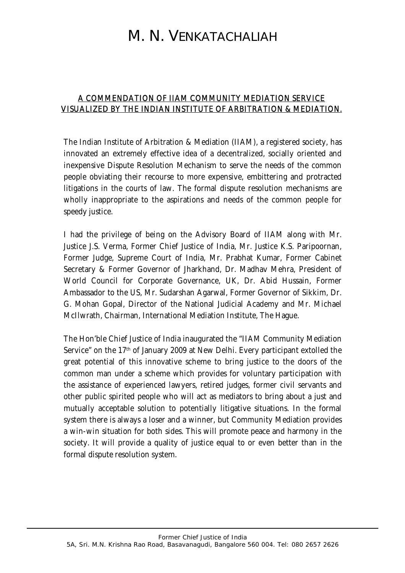## M. N. VENKATACHALIAH

## A COMMENDATION OF IIAM COMMUNITY MEDIATION SERVICE VISUALIZED BY THE INDIAN INSTITUTE OF ARBITRATION & MEDIATION.

The Indian Institute of Arbitration & Mediation (IIAM), a registered society, has innovated an extremely effective idea of a decentralized, socially oriented and inexpensive Dispute Resolution Mechanism to serve the needs of the common people obviating their recourse to more expensive, embittering and protracted litigations in the courts of law. The formal dispute resolution mechanisms are wholly inappropriate to the aspirations and needs of the common people for speedy justice.

I had the privilege of being on the Advisory Board of IIAM along with Mr. Justice J.S. Verma, Former Chief Justice of India, Mr. Justice K.S. Paripoornan, Former Judge, Supreme Court of India, Mr. Prabhat Kumar, Former Cabinet Secretary & Former Governor of Jharkhand, Dr. Madhav Mehra, President of World Council for Corporate Governance, UK, Dr. Abid Hussain, Former Ambassador to the US, Mr. Sudarshan Agarwal, Former Governor of Sikkim, Dr. G. Mohan Gopal, Director of the National Judicial Academy and Mr. Michael McIlwrath, Chairman, International Mediation Institute, The Hague.

The Hon'ble Chief Justice of India inaugurated the "IIAM Community Mediation Service" on the 17th of January 2009 at New Delhi. Every participant extolled the great potential of this innovative scheme to bring justice to the doors of the common man under a scheme which provides for voluntary participation with the assistance of experienced lawyers, retired judges, former civil servants and other public spirited people who will act as mediators to bring about a just and mutually acceptable solution to potentially litigative situations. In the formal system there is always a loser and a winner, but Community Mediation provides a win-win situation for both sides. This will promote peace and harmony in the society. It will provide a quality of justice equal to or even better than in the formal dispute resolution system.